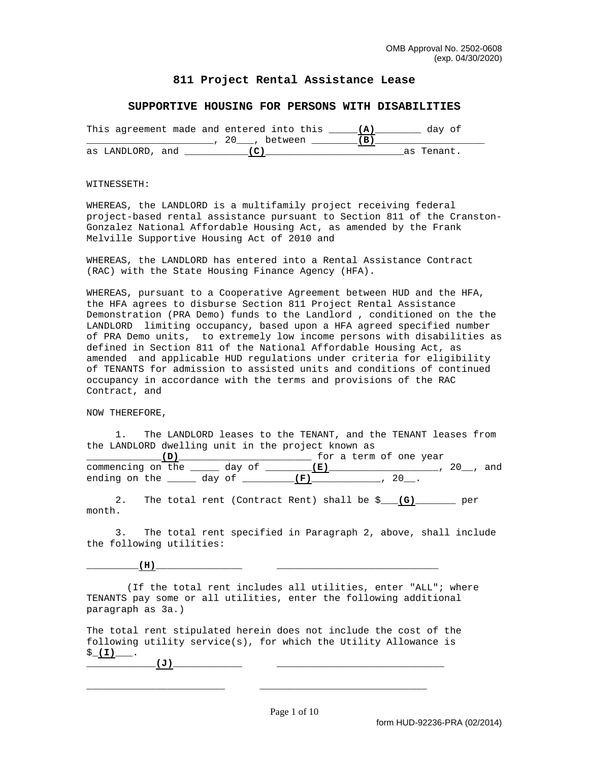## **811 Project Rental Assistance Lease**

## **SUPPORTIVE HOUSING FOR PERSONS WITH DISABILITIES**

| This agreement made and entered into this |  |           |  | dav ot     |  |
|-------------------------------------------|--|-----------|--|------------|--|
|                                           |  | . between |  |            |  |
| as LANDLORD, and                          |  |           |  | as Tenant. |  |

## WITNESSETH:

WHEREAS, the LANDLORD is a multifamily project receiving federal project-based rental assistance pursuant to Section 811 of the Cranston-Gonzalez National Affordable Housing Act, as amended by the Frank Melville Supportive Housing Act of 2010 and

WHEREAS, the LANDLORD has entered into a Rental Assistance Contract (RAC) with the State Housing Finance Agency (HFA).

WHEREAS, pursuant to a Cooperative Agreement between HUD and the HFA, the HFA agrees to disburse Section 811 Project Rental Assistance Demonstration (PRA Demo) funds to the Landlord , conditioned on the the LANDLORD limiting occupancy, based upon a HFA agreed specified number of PRA Demo units, to extremely low income persons with disabilities as defined in Section 811 of the National Affordable Housing Act, as amended and applicable HUD regulations under criteria for eligibility of TENANTS for admission to assisted units and conditions of continued occupancy in accordance with the terms and provisions of the RAC Contract, and

NOW THEREFORE,

 1. The LANDLORD leases to the TENANT, and the TENANT leases from the LANDLORD dwelling unit in the project known as \_\_\_\_\_\_\_\_\_\_\_\_\_**(D)**\_\_\_\_\_\_\_\_\_\_\_\_\_\_\_\_\_\_\_\_\_\_\_ for a term of one year commencing on the \_\_\_\_\_ day of \_\_\_\_\_\_\_\_**(E)**\_\_\_\_\_\_\_\_\_\_\_\_\_\_\_\_\_\_\_, 20\_\_, and ending on the \_\_\_\_\_ day of \_\_\_\_\_\_\_\_\_**(F)**\_\_\_\_\_\_\_\_\_\_\_\_, 20\_\_.

 2. The total rent (Contract Rent) shall be \$\_\_\_**(G)**\_\_\_\_\_\_\_ per month.

 3. The total rent specified in Paragraph 2, above, shall include the following utilities:

\_\_\_\_\_\_\_\_\_**(H)**\_\_\_\_\_\_\_\_\_\_\_\_\_\_\_ \_\_\_\_\_\_\_\_\_\_\_\_\_\_\_\_\_\_\_\_\_\_\_\_\_\_\_\_

 (If the total rent includes all utilities, enter "ALL"; where TENANTS pay some or all utilities, enter the following additional paragraph as 3a.)

The total rent stipulated herein does not include the cost of the following utility service(s), for which the Utility Allowance is  $$(1)$ . \_\_\_\_\_\_\_\_\_\_\_\_**(J)**\_\_\_\_\_\_\_\_\_\_\_\_ \_\_\_\_\_\_\_\_\_\_\_\_\_\_\_\_\_\_\_\_\_\_\_\_\_\_\_\_\_

\_\_\_\_\_\_\_\_\_\_\_\_\_\_\_\_\_\_\_\_\_\_\_\_ \_\_\_\_\_\_\_\_\_\_\_\_\_\_\_\_\_\_\_\_\_\_\_\_\_\_\_\_\_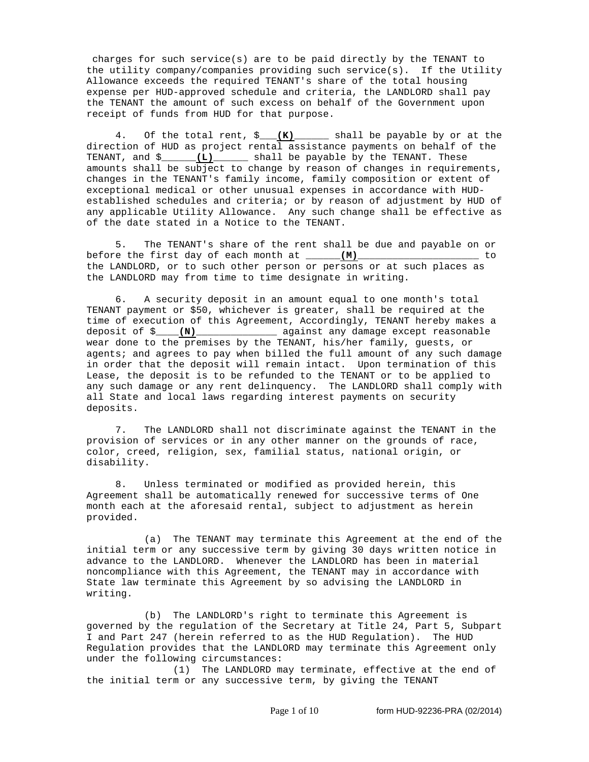charges for such service(s) are to be paid directly by the TENANT to the utility company/companies providing such service(s). If the Utility Allowance exceeds the required TENANT's share of the total housing expense per HUD-approved schedule and criteria, the LANDLORD shall pay the TENANT the amount of such excess on behalf of the Government upon receipt of funds from HUD for that purpose.

 4. Of the total rent, \$\_\_\_**(K)**\_\_\_\_\_\_ shall be payable by or at the direction of HUD as project rental assistance payments on behalf of the TENANT, and \$\_\_\_\_\_\_**(L)**\_\_\_\_\_\_ shall be payable by the TENANT. These amounts shall be subject to change by reason of changes in requirements, changes in the TENANT's family income, family composition or extent of exceptional medical or other unusual expenses in accordance with HUDestablished schedules and criteria; or by reason of adjustment by HUD of any applicable Utility Allowance. Any such change shall be effective as of the date stated in a Notice to the TENANT.

 5. The TENANT's share of the rent shall be due and payable on or before the first day of each month at \_\_\_\_\_\_**(M)**\_\_\_\_\_\_\_\_\_\_\_\_\_\_\_\_\_\_\_\_\_ to the LANDLORD, or to such other person or persons or at such places as the LANDLORD may from time to time designate in writing.

 6. A security deposit in an amount equal to one month's total TENANT payment or \$50, whichever is greater, shall be required at the time of execution of this Agreement, Accordingly, TENANT hereby makes a deposit of \$\_\_\_\_**(N)**\_\_\_\_\_\_\_\_\_\_\_\_\_\_ against any damage except reasonable wear done to the premises by the TENANT, his/her family, guests, or agents; and agrees to pay when billed the full amount of any such damage in order that the deposit will remain intact. Upon termination of this Lease, the deposit is to be refunded to the TENANT or to be applied to any such damage or any rent delinquency. The LANDLORD shall comply with all State and local laws regarding interest payments on security deposits.

 7. The LANDLORD shall not discriminate against the TENANT in the provision of services or in any other manner on the grounds of race, color, creed, religion, sex, familial status, national origin, or disability.

 8. Unless terminated or modified as provided herein, this Agreement shall be automatically renewed for successive terms of One month each at the aforesaid rental, subject to adjustment as herein provided.

 (a) The TENANT may terminate this Agreement at the end of the initial term or any successive term by giving 30 days written notice in advance to the LANDLORD. Whenever the LANDLORD has been in material noncompliance with this Agreement, the TENANT may in accordance with State law terminate this Agreement by so advising the LANDLORD in writing.

 (b) The LANDLORD's right to terminate this Agreement is governed by the regulation of the Secretary at Title 24, Part 5, Subpart I and Part 247 (herein referred to as the HUD Regulation). The HUD Regulation provides that the LANDLORD may terminate this Agreement only under the following circumstances:

 (1) The LANDLORD may terminate, effective at the end of the initial term or any successive term, by giving the TENANT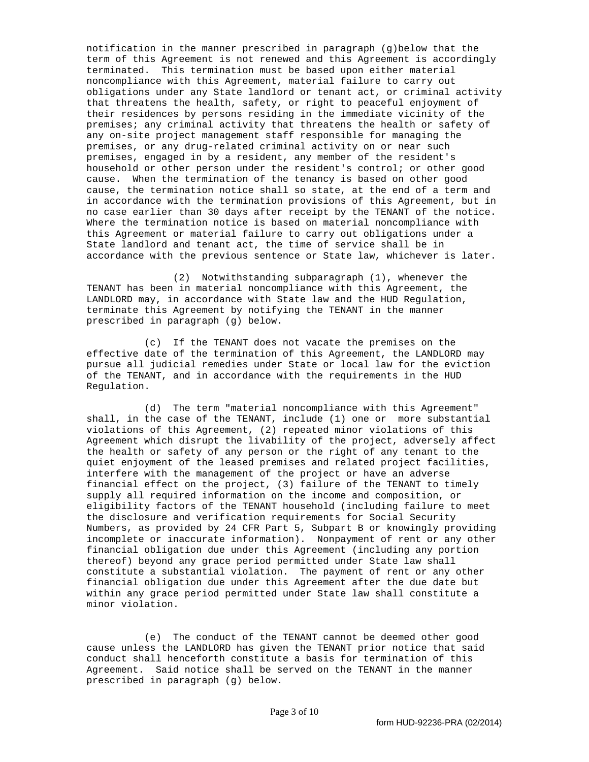notification in the manner prescribed in paragraph (g)below that the term of this Agreement is not renewed and this Agreement is accordingly terminated. This termination must be based upon either material noncompliance with this Agreement, material failure to carry out obligations under any State landlord or tenant act, or criminal activity that threatens the health, safety, or right to peaceful enjoyment of their residences by persons residing in the immediate vicinity of the premises; any criminal activity that threatens the health or safety of any on-site project management staff responsible for managing the premises, or any drug-related criminal activity on or near such premises, engaged in by a resident, any member of the resident's household or other person under the resident's control; or other good cause. When the termination of the tenancy is based on other good cause, the termination notice shall so state, at the end of a term and in accordance with the termination provisions of this Agreement, but in no case earlier than 30 days after receipt by the TENANT of the notice. Where the termination notice is based on material noncompliance with this Agreement or material failure to carry out obligations under a State landlord and tenant act, the time of service shall be in accordance with the previous sentence or State law, whichever is later.

 (2) Notwithstanding subparagraph (1), whenever the TENANT has been in material noncompliance with this Agreement, the LANDLORD may, in accordance with State law and the HUD Regulation, terminate this Agreement by notifying the TENANT in the manner prescribed in paragraph (g) below.

 (c) If the TENANT does not vacate the premises on the effective date of the termination of this Agreement, the LANDLORD may pursue all judicial remedies under State or local law for the eviction of the TENANT, and in accordance with the requirements in the HUD Regulation.

 (d) The term "material noncompliance with this Agreement" shall, in the case of the TENANT, include (1) one or more substantial violations of this Agreement, (2) repeated minor violations of this Agreement which disrupt the livability of the project, adversely affect the health or safety of any person or the right of any tenant to the quiet enjoyment of the leased premises and related project facilities, interfere with the management of the project or have an adverse financial effect on the project, (3) failure of the TENANT to timely supply all required information on the income and composition, or eligibility factors of the TENANT household (including failure to meet the disclosure and verification requirements for Social Security Numbers, as provided by 24 CFR Part 5, Subpart B or knowingly providing incomplete or inaccurate information). Nonpayment of rent or any other financial obligation due under this Agreement (including any portion thereof) beyond any grace period permitted under State law shall constitute a substantial violation. The payment of rent or any other financial obligation due under this Agreement after the due date but within any grace period permitted under State law shall constitute a minor violation.

 (e) The conduct of the TENANT cannot be deemed other good cause unless the LANDLORD has given the TENANT prior notice that said conduct shall henceforth constitute a basis for termination of this Agreement. Said notice shall be served on the TENANT in the manner prescribed in paragraph (g) below.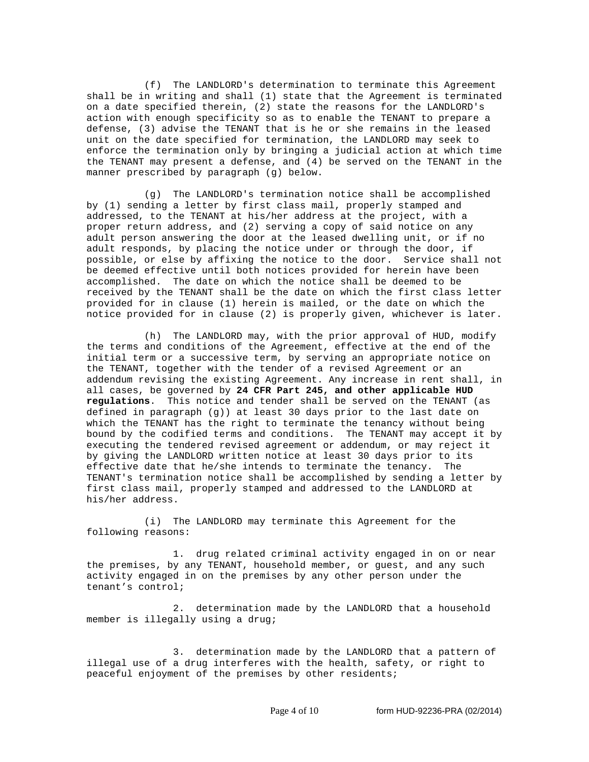(f) The LANDLORD's determination to terminate this Agreement shall be in writing and shall (1) state that the Agreement is terminated on a date specified therein, (2) state the reasons for the LANDLORD's action with enough specificity so as to enable the TENANT to prepare a defense, (3) advise the TENANT that is he or she remains in the leased unit on the date specified for termination, the LANDLORD may seek to enforce the termination only by bringing a judicial action at which time the TENANT may present a defense, and (4) be served on the TENANT in the manner prescribed by paragraph (g) below.

 (g) The LANDLORD's termination notice shall be accomplished by (1) sending a letter by first class mail, properly stamped and addressed, to the TENANT at his/her address at the project, with a proper return address, and (2) serving a copy of said notice on any adult person answering the door at the leased dwelling unit, or if no adult responds, by placing the notice under or through the door, if possible, or else by affixing the notice to the door. Service shall not be deemed effective until both notices provided for herein have been accomplished. The date on which the notice shall be deemed to be received by the TENANT shall be the date on which the first class letter provided for in clause (1) herein is mailed, or the date on which the notice provided for in clause (2) is properly given, whichever is later.

 (h) The LANDLORD may, with the prior approval of HUD, modify the terms and conditions of the Agreement, effective at the end of the initial term or a successive term, by serving an appropriate notice on the TENANT, together with the tender of a revised Agreement or an addendum revising the existing Agreement. Any increase in rent shall, in all cases, be governed by **24 CFR Part 245, and other applicable HUD regulations**. This notice and tender shall be served on the TENANT (as defined in paragraph (g)) at least 30 days prior to the last date on which the TENANT has the right to terminate the tenancy without being bound by the codified terms and conditions. The TENANT may accept it by executing the tendered revised agreement or addendum, or may reject it by giving the LANDLORD written notice at least 30 days prior to its effective date that he/she intends to terminate the tenancy. The TENANT's termination notice shall be accomplished by sending a letter by first class mail, properly stamped and addressed to the LANDLORD at his/her address.

 (i) The LANDLORD may terminate this Agreement for the following reasons:

 1. drug related criminal activity engaged in on or near the premises, by any TENANT, household member, or guest, and any such activity engaged in on the premises by any other person under the tenant's control;

 2. determination made by the LANDLORD that a household member is illegally using a drug;

 3. determination made by the LANDLORD that a pattern of illegal use of a drug interferes with the health, safety, or right to peaceful enjoyment of the premises by other residents;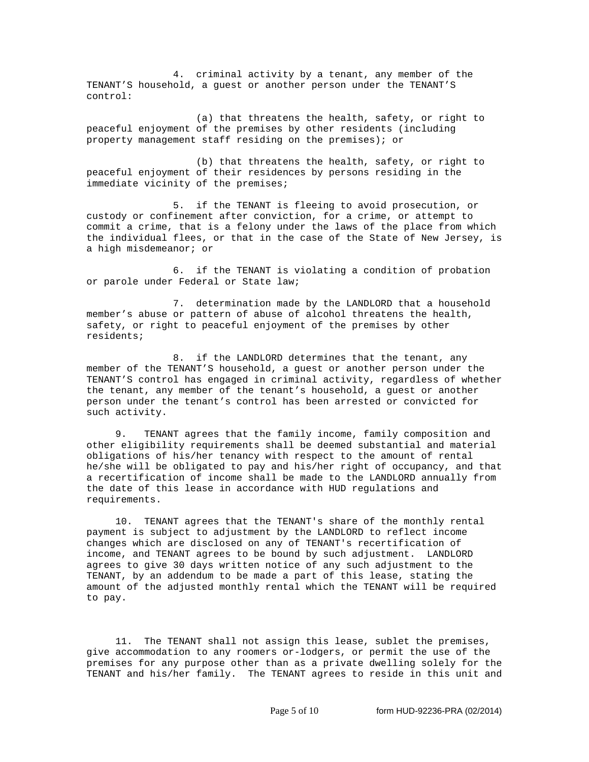4. criminal activity by a tenant, any member of the TENANT'S household, a guest or another person under the TENANT'S control:

 (a) that threatens the health, safety, or right to peaceful enjoyment of the premises by other residents (including property management staff residing on the premises); or

 (b) that threatens the health, safety, or right to peaceful enjoyment of their residences by persons residing in the immediate vicinity of the premises;

 5. if the TENANT is fleeing to avoid prosecution, or custody or confinement after conviction, for a crime, or attempt to commit a crime, that is a felony under the laws of the place from which the individual flees, or that in the case of the State of New Jersey, is a high misdemeanor; or

 6. if the TENANT is violating a condition of probation or parole under Federal or State law;

 7. determination made by the LANDLORD that a household member's abuse or pattern of abuse of alcohol threatens the health, safety, or right to peaceful enjoyment of the premises by other residents;

 8. if the LANDLORD determines that the tenant, any member of the TENANT'S household, a guest or another person under the TENANT'S control has engaged in criminal activity, regardless of whether the tenant, any member of the tenant's household, a guest or another person under the tenant's control has been arrested or convicted for such activity.

 9. TENANT agrees that the family income, family composition and other eligibility requirements shall be deemed substantial and material obligations of his/her tenancy with respect to the amount of rental he/she will be obligated to pay and his/her right of occupancy, and that a recertification of income shall be made to the LANDLORD annually from the date of this lease in accordance with HUD regulations and requirements.

 10. TENANT agrees that the TENANT's share of the monthly rental payment is subject to adjustment by the LANDLORD to reflect income changes which are disclosed on any of TENANT's recertification of income, and TENANT agrees to be bound by such adjustment. LANDLORD agrees to give 30 days written notice of any such adjustment to the TENANT, by an addendum to be made a part of this lease, stating the amount of the adjusted monthly rental which the TENANT will be required to pay.

 11. The TENANT shall not assign this lease, sublet the premises, give accommodation to any roomers or-lodgers, or permit the use of the premises for any purpose other than as a private dwelling solely for the TENANT and his/her family. The TENANT agrees to reside in this unit and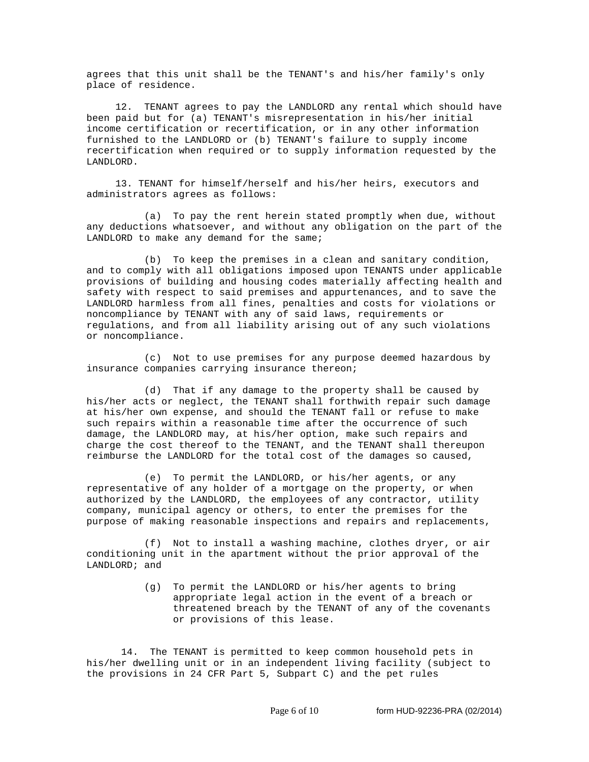agrees that this unit shall be the TENANT's and his/her family's only place of residence.

 12. TENANT agrees to pay the LANDLORD any rental which should have been paid but for (a) TENANT's misrepresentation in his/her initial income certification or recertification, or in any other information furnished to the LANDLORD or (b) TENANT's failure to supply income recertification when required or to supply information requested by the LANDLORD.

 13. TENANT for himself/herself and his/her heirs, executors and administrators agrees as follows:

 (a) To pay the rent herein stated promptly when due, without any deductions whatsoever, and without any obligation on the part of the LANDLORD to make any demand for the same;

 (b) To keep the premises in a clean and sanitary condition, and to comply with all obligations imposed upon TENANTS under applicable provisions of building and housing codes materially affecting health and safety with respect to said premises and appurtenances, and to save the LANDLORD harmless from all fines, penalties and costs for violations or noncompliance by TENANT with any of said laws, requirements or regulations, and from all liability arising out of any such violations or noncompliance.

 (c) Not to use premises for any purpose deemed hazardous by insurance companies carrying insurance thereon;

 (d) That if any damage to the property shall be caused by his/her acts or neglect, the TENANT shall forthwith repair such damage at his/her own expense, and should the TENANT fall or refuse to make such repairs within a reasonable time after the occurrence of such damage, the LANDLORD may, at his/her option, make such repairs and charge the cost thereof to the TENANT, and the TENANT shall thereupon reimburse the LANDLORD for the total cost of the damages so caused,

 (e) To permit the LANDLORD, or his/her agents, or any representative of any holder of a mortgage on the property, or when authorized by the LANDLORD, the employees of any contractor, utility company, municipal agency or others, to enter the premises for the purpose of making reasonable inspections and repairs and replacements,

 (f) Not to install a washing machine, clothes dryer, or air conditioning unit in the apartment without the prior approval of the LANDLORD; and

> (g) To permit the LANDLORD or his/her agents to bring appropriate legal action in the event of a breach or threatened breach by the TENANT of any of the covenants or provisions of this lease.

 14. The TENANT is permitted to keep common household pets in his/her dwelling unit or in an independent living facility (subject to the provisions in 24 CFR Part 5, Subpart C) and the pet rules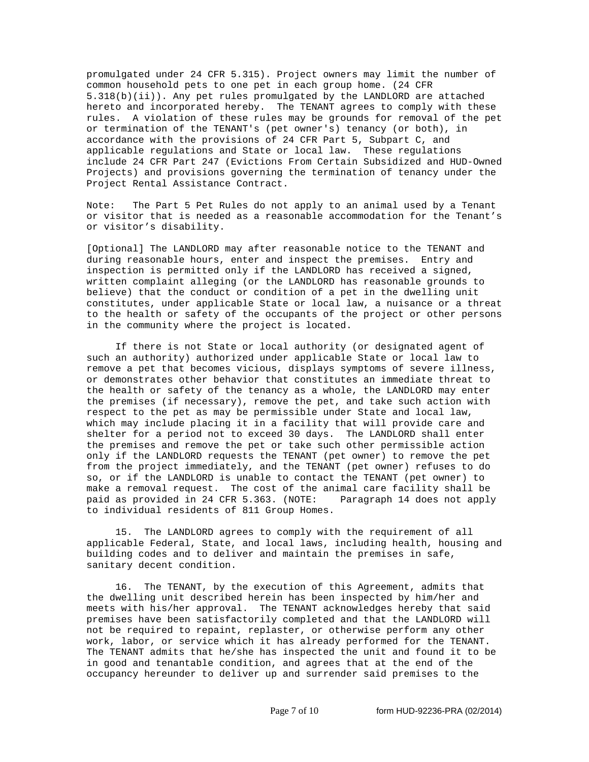promulgated under 24 CFR 5.315). Project owners may limit the number of common household pets to one pet in each group home. (24 CFR 5.318(b)(ii)). Any pet rules promulgated by the LANDLORD are attached hereto and incorporated hereby. The TENANT agrees to comply with these rules. A violation of these rules may be grounds for removal of the pet or termination of the TENANT's (pet owner's) tenancy (or both), in accordance with the provisions of 24 CFR Part 5, Subpart C, and applicable regulations and State or local law. These regulations include 24 CFR Part 247 (Evictions From Certain Subsidized and HUD-Owned Projects) and provisions governing the termination of tenancy under the Project Rental Assistance Contract.

Note: The Part 5 Pet Rules do not apply to an animal used by a Tenant or visitor that is needed as a reasonable accommodation for the Tenant's or visitor's disability.

[Optional] The LANDLORD may after reasonable notice to the TENANT and during reasonable hours, enter and inspect the premises. Entry and inspection is permitted only if the LANDLORD has received a signed, written complaint alleging (or the LANDLORD has reasonable grounds to believe) that the conduct or condition of a pet in the dwelling unit constitutes, under applicable State or local law, a nuisance or a threat to the health or safety of the occupants of the project or other persons in the community where the project is located.

 If there is not State or local authority (or designated agent of such an authority) authorized under applicable State or local law to remove a pet that becomes vicious, displays symptoms of severe illness, or demonstrates other behavior that constitutes an immediate threat to the health or safety of the tenancy as a whole, the LANDLORD may enter the premises (if necessary), remove the pet, and take such action with respect to the pet as may be permissible under State and local law, which may include placing it in a facility that will provide care and shelter for a period not to exceed 30 days. The LANDLORD shall enter the premises and remove the pet or take such other permissible action only if the LANDLORD requests the TENANT (pet owner) to remove the pet from the project immediately, and the TENANT (pet owner) refuses to do so, or if the LANDLORD is unable to contact the TENANT (pet owner) to make a removal request. The cost of the animal care facility shall be paid as provided in 24 CFR 5.363. (NOTE: Paragraph 14 does not apply to individual residents of 811 Group Homes.

 15. The LANDLORD agrees to comply with the requirement of all applicable Federal, State, and local laws, including health, housing and building codes and to deliver and maintain the premises in safe, sanitary decent condition.

 16. The TENANT, by the execution of this Agreement, admits that the dwelling unit described herein has been inspected by him/her and meets with his/her approval. The TENANT acknowledges hereby that said premises have been satisfactorily completed and that the LANDLORD will not be required to repaint, replaster, or otherwise perform any other work, labor, or service which it has already performed for the TENANT. The TENANT admits that he/she has inspected the unit and found it to be in good and tenantable condition, and agrees that at the end of the occupancy hereunder to deliver up and surrender said premises to the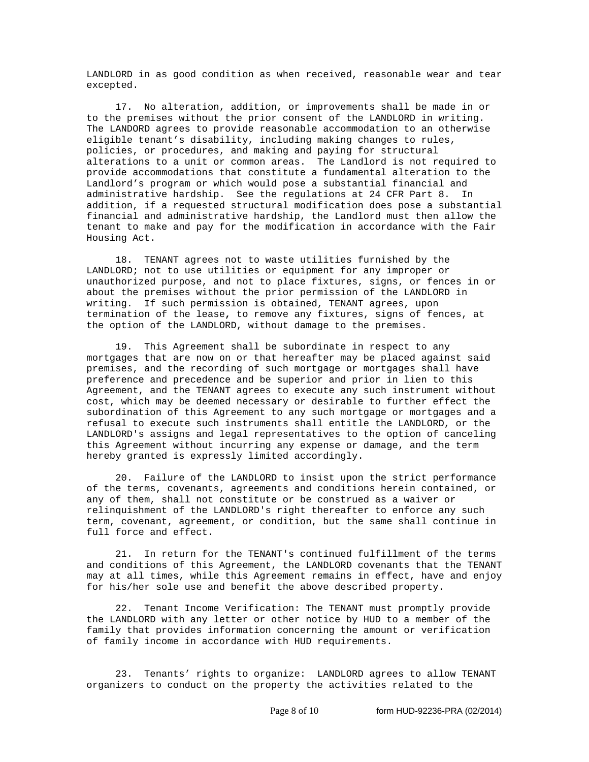LANDLORD in as good condition as when received, reasonable wear and tear excepted.

 17. No alteration, addition, or improvements shall be made in or to the premises without the prior consent of the LANDLORD in writing. The LANDORD agrees to provide reasonable accommodation to an otherwise eligible tenant's disability, including making changes to rules, policies, or procedures, and making and paying for structural alterations to a unit or common areas. The Landlord is not required to provide accommodations that constitute a fundamental alteration to the Landlord's program or which would pose a substantial financial and administrative hardship. See the regulations at 24 CFR Part 8. In addition, if a requested structural modification does pose a substantial financial and administrative hardship, the Landlord must then allow the tenant to make and pay for the modification in accordance with the Fair Housing Act.

 18. TENANT agrees not to waste utilities furnished by the LANDLORD; not to use utilities or equipment for any improper or unauthorized purpose, and not to place fixtures, signs, or fences in or about the premises without the prior permission of the LANDLORD in writing. If such permission is obtained, TENANT agrees, upon termination of the lease**,** to remove any fixtures, signs of fences, at the option of the LANDLORD, without damage to the premises.

 19. This Agreement shall be subordinate in respect to any mortgages that are now on or that hereafter may be placed against said premises, and the recording of such mortgage or mortgages shall have preference and precedence and be superior and prior in lien to this Agreement, and the TENANT agrees to execute any such instrument without cost, which may be deemed necessary or desirable to further effect the subordination of this Agreement to any such mortgage or mortgages and a refusal to execute such instruments shall entitle the LANDLORD, or the LANDLORD's assigns and legal representatives to the option of canceling this Agreement without incurring any expense or damage, and the term hereby granted is expressly limited accordingly.

 20. Failure of the LANDLORD to insist upon the strict performance of the terms, covenants, agreements and conditions herein contained, or any of them, shall not constitute or be construed as a waiver or relinquishment of the LANDLORD's right thereafter to enforce any such term, covenant, agreement, or condition, but the same shall continue in full force and effect.

 21. In return for the TENANT's continued fulfillment of the terms and conditions of this Agreement, the LANDLORD covenants that the TENANT may at all times, while this Agreement remains in effect, have and enjoy for his/her sole use and benefit the above described property.

 22. Tenant Income Verification: The TENANT must promptly provide the LANDLORD with any letter or other notice by HUD to a member of the family that provides information concerning the amount or verification of family income in accordance with HUD requirements.

 23. Tenants' rights to organize: LANDLORD agrees to allow TENANT organizers to conduct on the property the activities related to the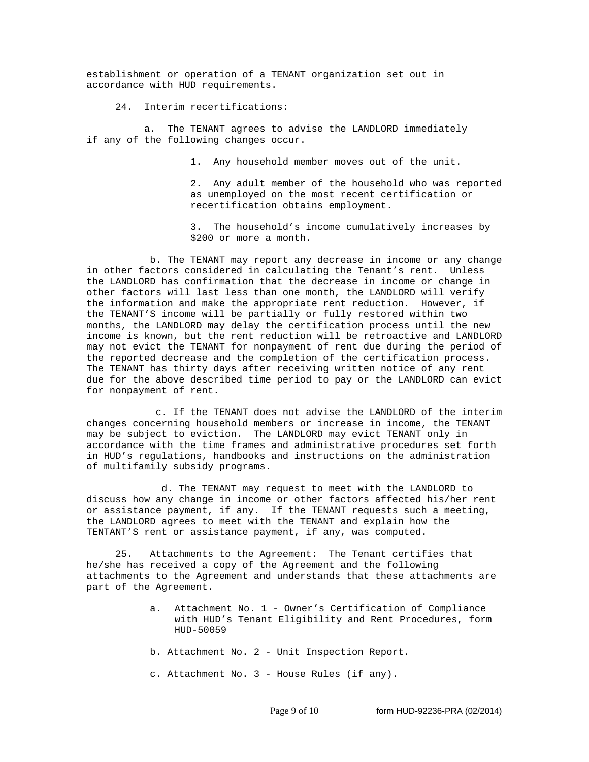establishment or operation of a TENANT organization set out in accordance with HUD requirements.

24. Interim recertifications:

a. The TENANT agrees to advise the LANDLORD immediately if any of the following changes occur.

1. Any household member moves out of the unit.

2. Any adult member of the household who was reported as unemployed on the most recent certification or recertification obtains employment.

3. The household's income cumulatively increases by \$200 or more a month.

 b. The TENANT may report any decrease in income or any change in other factors considered in calculating the Tenant's rent. Unless the LANDLORD has confirmation that the decrease in income or change in other factors will last less than one month, the LANDLORD will verify the information and make the appropriate rent reduction. However, if the TENANT'S income will be partially or fully restored within two months, the LANDLORD may delay the certification process until the new income is known, but the rent reduction will be retroactive and LANDLORD may not evict the TENANT for nonpayment of rent due during the period of the reported decrease and the completion of the certification process. The TENANT has thirty days after receiving written notice of any rent due for the above described time period to pay or the LANDLORD can evict for nonpayment of rent.

c. If the TENANT does not advise the LANDLORD of the interim changes concerning household members or increase in income, the TENANT may be subject to eviction. The LANDLORD may evict TENANT only in accordance with the time frames and administrative procedures set forth in HUD's regulations, handbooks and instructions on the administration of multifamily subsidy programs.

 d. The TENANT may request to meet with the LANDLORD to discuss how any change in income or other factors affected his/her rent or assistance payment, if any. If the TENANT requests such a meeting, the LANDLORD agrees to meet with the TENANT and explain how the TENTANT'S rent or assistance payment, if any, was computed.

 25. Attachments to the Agreement: The Tenant certifies that he/she has received a copy of the Agreement and the following attachments to the Agreement and understands that these attachments are part of the Agreement.

- a. Attachment No. 1 Owner's Certification of Compliance with HUD's Tenant Eligibility and Rent Procedures, form HUD-50059
- b. Attachment No. 2 Unit Inspection Report.
- c. Attachment No. 3 House Rules (if any).